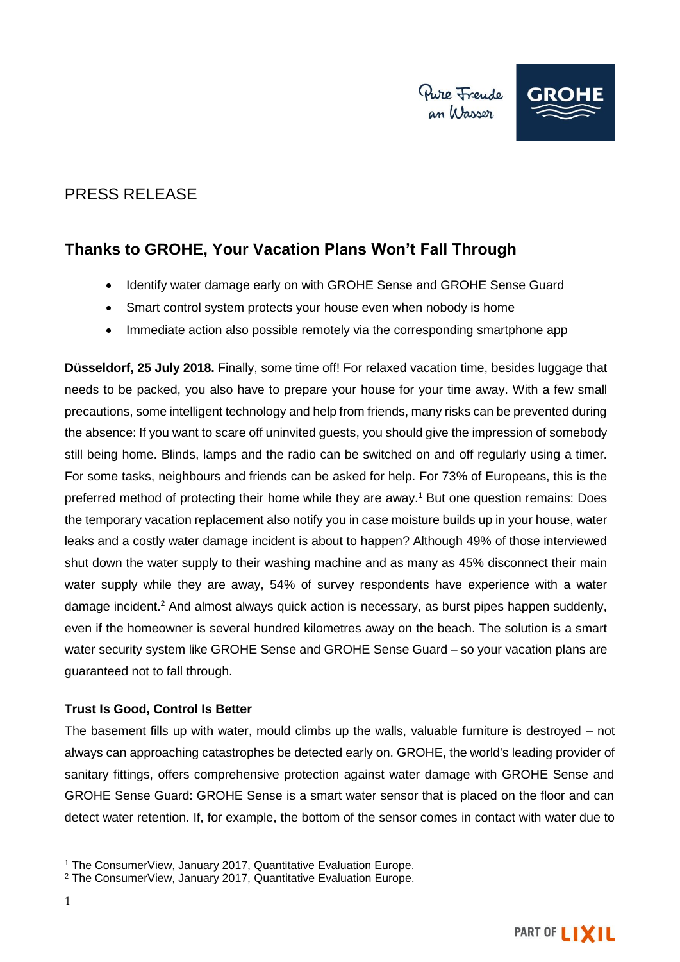

# PRESS RELEASE

## **Thanks to GROHE, Your Vacation Plans Won't Fall Through**

- Identify water damage early on with GROHE Sense and GROHE Sense Guard
- Smart control system protects your house even when nobody is home
- Immediate action also possible remotely via the corresponding smartphone app

**Düsseldorf, 25 July 2018.** Finally, some time off! For relaxed vacation time, besides luggage that needs to be packed, you also have to prepare your house for your time away. With a few small precautions, some intelligent technology and help from friends, many risks can be prevented during the absence: If you want to scare off uninvited guests, you should give the impression of somebody still being home. Blinds, lamps and the radio can be switched on and off regularly using a timer. For some tasks, neighbours and friends can be asked for help. For 73% of Europeans, this is the preferred method of protecting their home while they are away.<sup>1</sup> But one question remains: Does the temporary vacation replacement also notify you in case moisture builds up in your house, water leaks and a costly water damage incident is about to happen? Although 49% of those interviewed shut down the water supply to their washing machine and as many as 45% disconnect their main water supply while they are away, 54% of survey respondents have experience with a water damage incident. <sup>2</sup> And almost always quick action is necessary, as burst pipes happen suddenly, even if the homeowner is several hundred kilometres away on the beach. The solution is a smart water security system like GROHE Sense and GROHE Sense Guard – so your vacation plans are guaranteed not to fall through.

### **Trust Is Good, Control Is Better**

The basement fills up with water, mould climbs up the walls, valuable furniture is destroyed – not always can approaching catastrophes be detected early on. GROHE, the world's leading provider of sanitary fittings, offers comprehensive protection against water damage with GROHE Sense and GROHE Sense Guard: GROHE Sense is a smart water sensor that is placed on the floor and can detect water retention. If, for example, the bottom of the sensor comes in contact with water due to

<sup>1</sup> <sup>1</sup> The ConsumerView, January 2017, Quantitative Evaluation Europe.

<sup>2</sup> The ConsumerView, January 2017, Quantitative Evaluation Europe.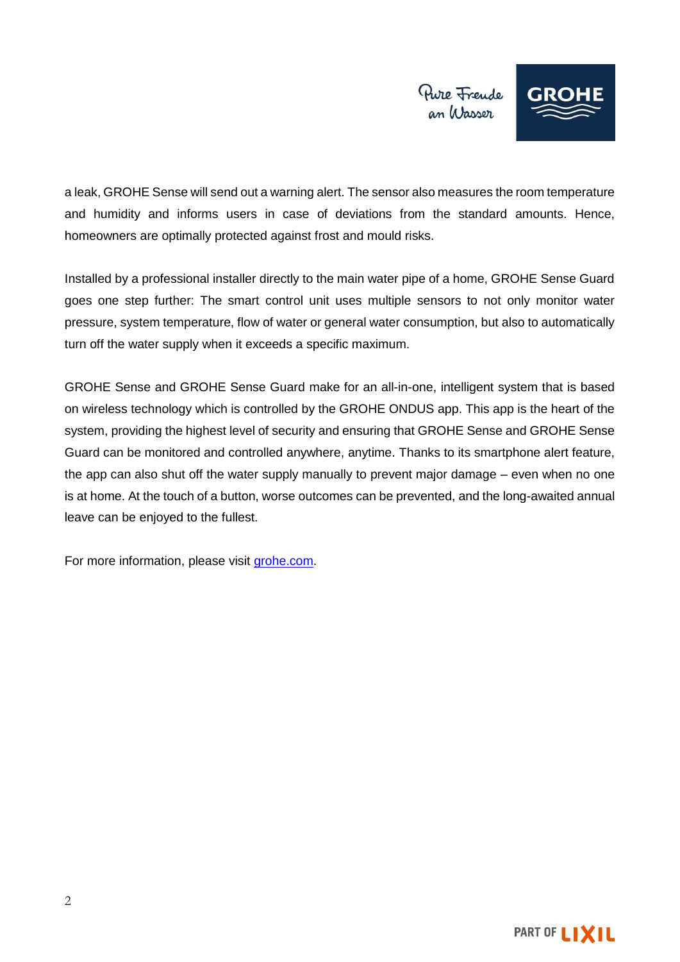

a leak, GROHE Sense will send out a warning alert. The sensor also measures the room temperature and humidity and informs users in case of deviations from the standard amounts. Hence, homeowners are optimally protected against frost and mould risks.

Installed by a professional installer directly to the main water pipe of a home, GROHE Sense Guard goes one step further: The smart control unit uses multiple sensors to not only monitor water pressure, system temperature, flow of water or general water consumption, but also to automatically turn off the water supply when it exceeds a specific maximum.

GROHE Sense and GROHE Sense Guard make for an all-in-one, intelligent system that is based on wireless technology which is controlled by the GROHE ONDUS app. This app is the heart of the system, providing the highest level of security and ensuring that GROHE Sense and GROHE Sense Guard can be monitored and controlled anywhere, anytime. Thanks to its smartphone alert feature, the app can also shut off the water supply manually to prevent major damage – even when no one is at home. At the touch of a button, worse outcomes can be prevented, and the long-awaited annual leave can be enjoyed to the fullest.

For more information, please visit [grohe.com.](http://www.grohe.com/)